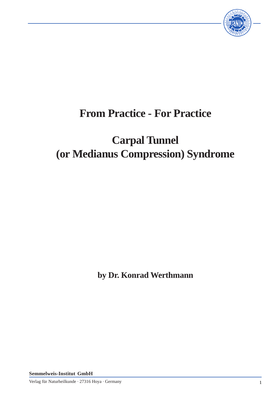

# **From Practice - For Practice**

# **Carpal Tunnel (or Medianus Compression) Syndrome**

**by Dr. Konrad Werthmann**

**Semmelweis-Institut GmbH**